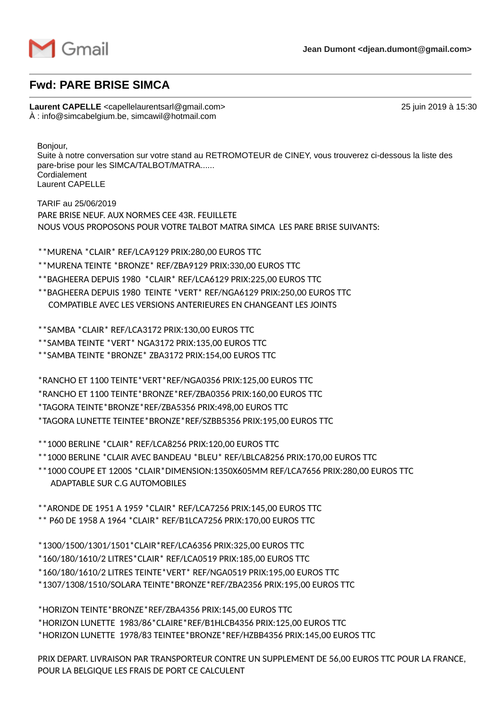

## **Fwd: PARE BRISE SIMCA**

**Laurent CAPELLE** <capellelaurentsarl@gmail.com> 25 juin 2019 à 15:30 À : info@simcabelgium.be, simcawil@hotmail.com

Bonjour,

Suite à notre conversation sur votre stand au RETROMOTEUR de CINEY, vous trouverez ci-dessous la liste des pare-brise pour les SIMCA/TALBOT/MATRA...... Cordialement Laurent CAPELLE

TARIF au 25/06/2019 PARE BRISE NEUF. AUX NORMES CEE 43R. FEUILLETE NOUS VOUS PROPOSONS POUR VOTRE TALBOT MATRA SIMCA LES PARE BRISE SUIVANTS:

- \*\*MURENA \*CLAIR\* REF/LCA9129 PRIX:280,00 EUROS TTC
- \*\*MURENA TEINTE \*BRONZE\* REF/ZBA9129 PRIX:330,00 EUROS TTC
- \*\*BAGHEERA DEPUIS 1980 \*CLAIR\* REF/LCA6129 PRIX:225,00 EUROS TTC
- \*\*BAGHEERA DEPUIS 1980 TEINTE \*VERT\* REF/NGA6129 PRIX:250,00 EUROS TTC COMPATIBLE AVEC LES VERSIONS ANTERIEURES EN CHANGEANT LES JOINTS

\*\*SAMBA \*CLAIR\* REF/LCA3172 PRIX:130,00 EUROS TTC

\*\*SAMBA TEINTE \*VERT\* NGA3172 PRIX:135,00 EUROS TTC

\*\*SAMBA TEINTE \*BRONZE\* ZBA3172 PRIX:154,00 EUROS TTC

\*RANCHO ET 1100 TEINTE\*VERT\*REF/NGA0356 PRIX:125,00 EUROS TTC

\*RANCHO ET 1100 TEINTE\*BRONZE\*REF/ZBA0356 PRIX:160,00 EUROS TTC

\*TAGORA TEINTE\*BRONZE\*REF/ZBA5356 PRIX:498,00 EUROS TTC

\*TAGORA LUNETTE TEINTEE\*BRONZE\*REF/SZBB5356 PRIX:195,00 EUROS TTC

\*\*1000 BERLINE \*CLAIR\* REF/LCA8256 PRIX:120,00 EUROS TTC

\*\*1000 BERLINE \*CLAIR AVEC BANDEAU \*BLEU\* REF/LBLCA8256 PRIX:170,00 EUROS TTC

\*\*1000 COUPE ET 1200S \*CLAIR\*DIMENSION:1350X605MM REF/LCA7656 PRIX:280,00 EUROS TTC ADAPTABLE SUR C.G AUTOMOBILES

\*\*ARONDE DE 1951 A 1959 \*CLAIR\* REF/LCA7256 PRIX:145,00 EUROS TTC

\*\* P60 DE 1958 A 1964 \*CLAIR\* REF/B1LCA7256 PRIX:170,00 EUROS TTC

\*1300/1500/1301/1501\*CLAIR\*REF/LCA6356 PRIX:325,00 EUROS TTC

\*160/180/1610/2 LITRES\*CLAIR\* REF/LCA0519 PRIX:185,00 EUROS TTC

\*160/180/1610/2 LITRES TEINTE\*VERT\* REF/NGA0519 PRIX:195,00 EUROS TTC

\*1307/1308/1510/SOLARA TEINTE\*BRONZE\*REF/ZBA2356 PRIX:195,00 EUROS TTC

\*HORIZON TEINTE\*BRONZE\*REF/ZBA4356 PRIX:145,00 EUROS TTC \*HORIZON LUNETTE 1983/86\*CLAIRE\*REF/B1HLCB4356 PRIX:125,00 EUROS TTC \*HORIZON LUNETTE 1978/83 TEINTEE\*BRONZE\*REF/HZBB4356 PRIX:145,00 EUROS TTC

PRIX DEPART. LIVRAISON PAR TRANSPORTEUR CONTRE UN SUPPLEMENT DE 56,00 EUROS TTC POUR LA FRANCE, POUR LA BELGIQUE LES FRAIS DE PORT CE CALCULENT